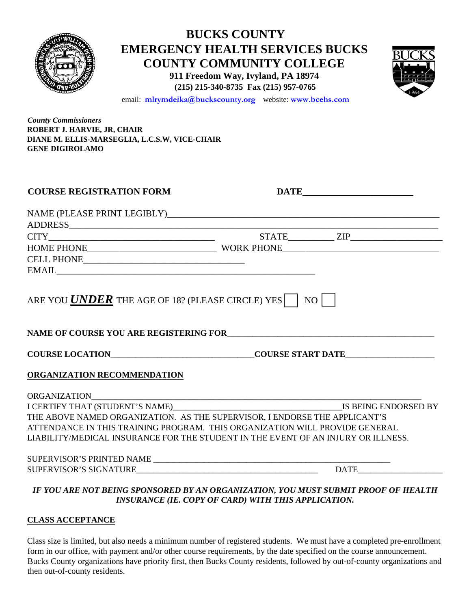|                                                            | <b>EMERGENCY HEALTH SERVICES BUCKS</b><br>email: mlrymdeika@buckscounty.org website: www.bcehs.com                                                                                                                             | <b>BUCKS COUNTY</b><br><b>COUNTY COMMUNITY COLLEGE</b><br>911 Freedom Way, Ivyland, PA 18974<br>(215) 215-340-8735 Fax (215) 957-0765 |  |
|------------------------------------------------------------|--------------------------------------------------------------------------------------------------------------------------------------------------------------------------------------------------------------------------------|---------------------------------------------------------------------------------------------------------------------------------------|--|
| <b>County Commissioners</b><br>ROBERT J. HARVIE, JR, CHAIR | DIANE M. ELLIS-MARSEGLIA, L.C.S.W, VICE-CHAIR                                                                                                                                                                                  |                                                                                                                                       |  |
| <b>GENE DIGIROLAMO</b>                                     |                                                                                                                                                                                                                                |                                                                                                                                       |  |
| <b>COURSE REGISTRATION FORM</b>                            |                                                                                                                                                                                                                                |                                                                                                                                       |  |
|                                                            |                                                                                                                                                                                                                                |                                                                                                                                       |  |
|                                                            |                                                                                                                                                                                                                                |                                                                                                                                       |  |
|                                                            |                                                                                                                                                                                                                                |                                                                                                                                       |  |
|                                                            |                                                                                                                                                                                                                                |                                                                                                                                       |  |
|                                                            | EMAIL CONSUMING THE CONSUMING THE CONSUMING THE CONSUMING THE CONSUMING THE CONSUMING THE CONSUMING THE CONSUMING THE CONSUMING THE CONSUMING THE CONSUMING THE CONSUMING THE CONSUMING THE CONSUMING THE CONSUMING THE CONSUM |                                                                                                                                       |  |
|                                                            | ARE YOU <b>UNDER</b> THE AGE OF 18? (PLEASE CIRCLE) YES $\vert$ NO $\vert$                                                                                                                                                     |                                                                                                                                       |  |
|                                                            | NAME OF COURSE YOU ARE REGISTERING FOR                                                                                                                                                                                         |                                                                                                                                       |  |
|                                                            | COURSE LOCATION___________________________________COURSE START DATE______________                                                                                                                                              |                                                                                                                                       |  |
| ORGANIZATION RECOMMENDATION                                |                                                                                                                                                                                                                                |                                                                                                                                       |  |
|                                                            |                                                                                                                                                                                                                                |                                                                                                                                       |  |
|                                                            |                                                                                                                                                                                                                                |                                                                                                                                       |  |
|                                                            | THE ABOVE NAMED ORGANIZATION. AS THE SUPERVISOR, I ENDORSE THE APPLICANT'S                                                                                                                                                     |                                                                                                                                       |  |
|                                                            | ATTENDANCE IN THIS TRAINING PROGRAM. THIS ORGANIZATION WILL PROVIDE GENERAL<br>LIABILITY/MEDICAL INSURANCE FOR THE STUDENT IN THE EVENT OF AN INJURY OR ILLNESS.                                                               |                                                                                                                                       |  |
|                                                            |                                                                                                                                                                                                                                |                                                                                                                                       |  |
|                                                            |                                                                                                                                                                                                                                |                                                                                                                                       |  |
|                                                            | IF YOU ARE NOT BEING SPONSORED BY AN ORGANIZATION, YOU MUST SUBMIT PROOF OF HEALTH                                                                                                                                             |                                                                                                                                       |  |

*INSURANCE (IE. COPY OF CARD) WITH THIS APPLICATION.* 

## **CLASS ACCEPTANCE**

Class size is limited, but also needs a minimum number of registered students. We must have a completed pre-enrollment form in our office, with payment and/or other course requirements, by the date specified on the course announcement. Bucks County organizations have priority first, then Bucks County residents, followed by out-of-county organizations and then out-of-county residents.